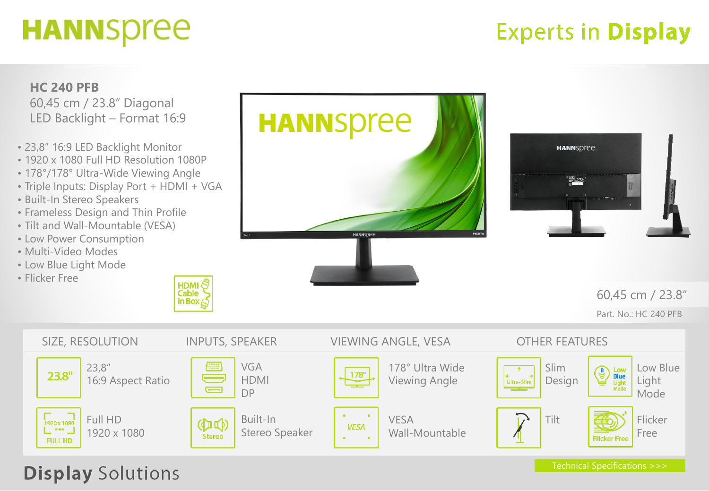## **HANNSpree**

## **Experts in Display**



#### **Display Solutions**

Technical Specifications >>>